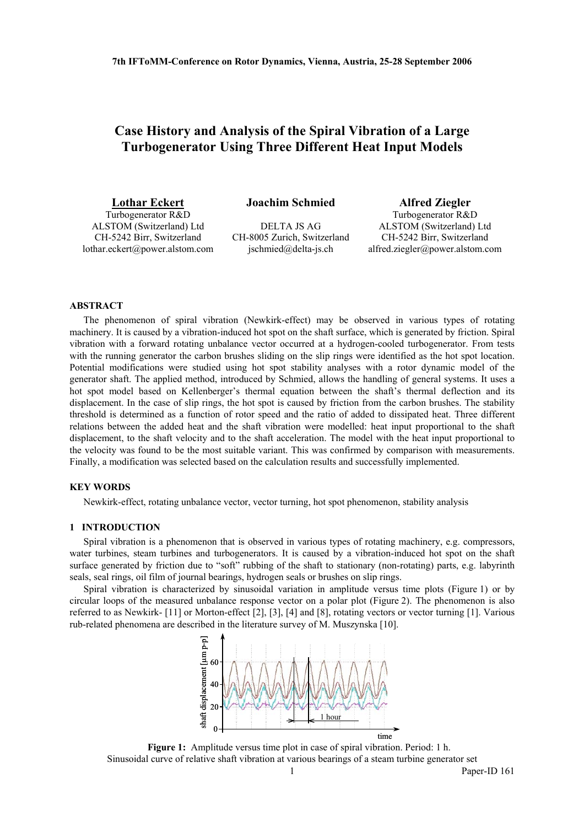# **Case History and Analysis of the Spiral Vibration of a Large Turbogenerator Using Three Different Heat Input Models**

Turbogenerator R&D ALSTOM (Switzerland) Ltd CH-5242 Birr, Switzerland lothar.eckert@power.alstom.com

**Lothar Eckert Joachim Schmied Alfred Ziegler**

DELTA JS AG CH-8005 Zurich, Switzerland jschmied@delta-js.ch

Turbogenerator R&D ALSTOM (Switzerland) Ltd CH-5242 Birr, Switzerland alfred.ziegler@power.alstom.com

## **ABSTRACT**

The phenomenon of spiral vibration (Newkirk-effect) may be observed in various types of rotating machinery. It is caused by a vibration-induced hot spot on the shaft surface, which is generated by friction. Spiral vibration with a forward rotating unbalance vector occurred at a hydrogen-cooled turbogenerator. From tests with the running generator the carbon brushes sliding on the slip rings were identified as the hot spot location. Potential modifications were studied using hot spot stability analyses with a rotor dynamic model of the generator shaft. The applied method, introduced by Schmied, allows the handling of general systems. It uses a hot spot model based on Kellenberger's thermal equation between the shaft's thermal deflection and its displacement. In the case of slip rings, the hot spot is caused by friction from the carbon brushes. The stability threshold is determined as a function of rotor speed and the ratio of added to dissipated heat. Three different relations between the added heat and the shaft vibration were modelled: heat input proportional to the shaft displacement, to the shaft velocity and to the shaft acceleration. The model with the heat input proportional to the velocity was found to be the most suitable variant. This was confirmed by comparison with measurements. Finally, a modification was selected based on the calculation results and successfully implemented.

## **KEY WORDS**

Newkirk-effect, rotating unbalance vector, vector turning, hot spot phenomenon, stability analysis

## **1 INTRODUCTION**

Spiral vibration is a phenomenon that is observed in various types of rotating machinery, e.g. compressors, water turbines, steam turbines and turbogenerators. It is caused by a vibration-induced hot spot on the shaft surface generated by friction due to "soft" rubbing of the shaft to stationary (non-rotating) parts, e.g. labyrinth seals, seal rings, oil film of journal bearings, hydrogen seals or brushes on slip rings.

Spiral vibration is characterized by sinusoidal variation in amplitude versus time plots (Figure 1) or by circular loops of the measured unbalance response vector on a polar plot (Figure 2). The phenomenon is also referred to as Newkirk- [11] or Morton-effect [2], [3], [4] and [8], rotating vectors or vector turning [1]. Various rub-related phenomena are described in the literature survey of M. Muszynska [10].



**Figure 1:** Amplitude versus time plot in case of spiral vibration. Period: 1 h. Sinusoidal curve of relative shaft vibration at various bearings of a steam turbine generator set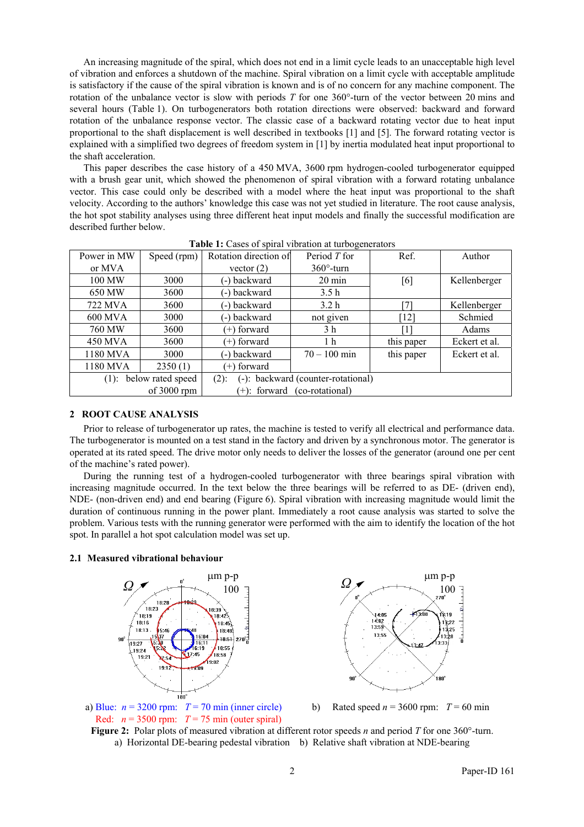An increasing magnitude of the spiral, which does not end in a limit cycle leads to an unacceptable high level of vibration and enforces a shutdown of the machine. Spiral vibration on a limit cycle with acceptable amplitude is satisfactory if the cause of the spiral vibration is known and is of no concern for any machine component. The rotation of the unbalance vector is slow with periods *T* for one 360°-turn of the vector between 20 mins and several hours (Table 1). On turbogenerators both rotation directions were observed: backward and forward rotation of the unbalance response vector. The classic case of a backward rotating vector due to heat input proportional to the shaft displacement is well described in textbooks [1] and [5]. The forward rotating vector is explained with a simplified two degrees of freedom system in [1] by inertia modulated heat input proportional to the shaft acceleration.

This paper describes the case history of a 450 MVA, 3600 rpm hydrogen-cooled turbogenerator equipped with a brush gear unit, which showed the phenomenon of spiral vibration with a forward rotating unbalance vector. This case could only be described with a model where the heat input was proportional to the shaft velocity. According to the authors' knowledge this case was not yet studied in literature. The root cause analysis, the hot spot stability analyses using three different heat input models and finally the successful modification are described further below.

| Power in MW                                         | Speed (rpm) | Rotation direction of                         | Period T for      | Ref.       | Author        |  |  |
|-----------------------------------------------------|-------------|-----------------------------------------------|-------------------|------------|---------------|--|--|
| or MVA                                              |             | vector $(2)$                                  | $360^\circ$ -turn |            |               |  |  |
| 100 MW                                              | 3000        | (-) backward                                  | $20 \text{ min}$  | [6]        | Kellenberger  |  |  |
| 650 MW                                              | 3600        | (-) backward                                  | 3.5 <sub>h</sub>  |            |               |  |  |
| 722 MVA                                             | 3600        | (-) backward                                  | 3.2 <sub>h</sub>  |            | Kellenberger  |  |  |
| 600 MVA                                             | 3000        | (-) backward                                  | not given         | [12]       | Schmied       |  |  |
| 760 MW                                              | 3600        | $(+)$ forward                                 | 3 <sub>h</sub>    |            | Adams         |  |  |
| 450 MVA                                             | 3600        | $(+)$ forward                                 | 1 <sub>h</sub>    | this paper | Eckert et al. |  |  |
| 1180 MVA                                            | 3000        | (-) backward                                  | $70 - 100$ min    | this paper | Eckert et al. |  |  |
| 1180 MVA                                            | 2350(1)     | $(+)$ forward                                 |                   |            |               |  |  |
| $(1)$ : below rated speed                           |             | (-): backward (counter-rotational)<br>$(2)$ : |                   |            |               |  |  |
| of $3000$ rpm<br>(co-rotational)<br>$(+)$ : forward |             |                                               |                   |            |               |  |  |

Table 1: Cases of spiral vibration at turbogenerators

## **2 ROOT CAUSE ANALYSIS**

Prior to release of turbogenerator up rates, the machine is tested to verify all electrical and performance data. The turbogenerator is mounted on a test stand in the factory and driven by a synchronous motor. The generator is operated at its rated speed. The drive motor only needs to deliver the losses of the generator (around one per cent of the machine's rated power).

During the running test of a hydrogen-cooled turbogenerator with three bearings spiral vibration with increasing magnitude occurred. In the text below the three bearings will be referred to as DE- (driven end), NDE- (non-driven end) and end bearing (Figure 6). Spiral vibration with increasing magnitude would limit the duration of continuous running in the power plant. Immediately a root cause analysis was started to solve the problem. Various tests with the running generator were performed with the aim to identify the location of the hot spot. In parallel a hot spot calculation model was set up.

## **2.1 Measured vibrational behaviour**





a) Blue:  $n = 3200$  rpm:  $T = 70$  min (inner circle) Red:  $n = 3500$  rpm:  $T = 75$  min (outer spiral)

b) Rated speed  $n = 3600$  rpm:  $T = 60$  min

**Figure 2:** Polar plots of measured vibration at different rotor speeds *n* and period *T* for one 360°-turn. a) Horizontal DE-bearing pedestal vibration b) Relative shaft vibration at NDE-bearing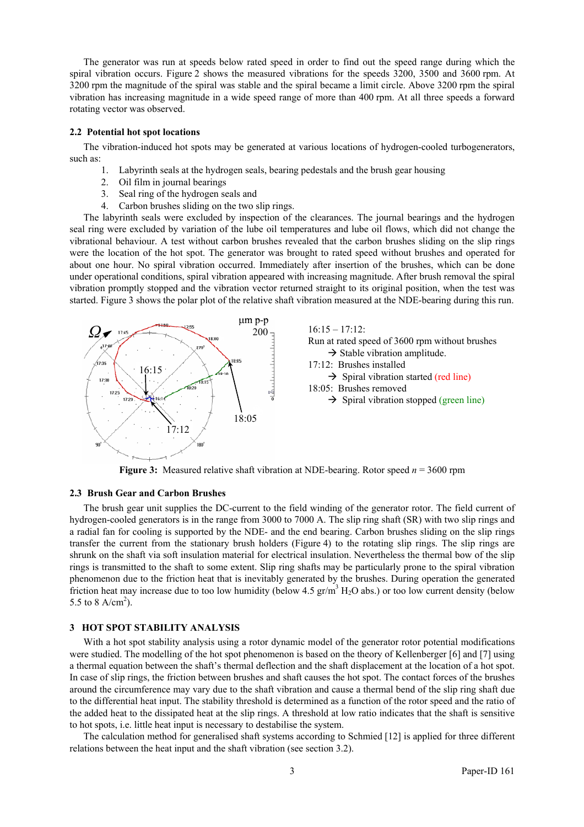The generator was run at speeds below rated speed in order to find out the speed range during which the spiral vibration occurs. Figure 2 shows the measured vibrations for the speeds 3200, 3500 and 3600 rpm. At 3200 rpm the magnitude of the spiral was stable and the spiral became a limit circle. Above 3200 rpm the spiral vibration has increasing magnitude in a wide speed range of more than 400 rpm. At all three speeds a forward rotating vector was observed.

## **2.2 Potential hot spot locations**

The vibration-induced hot spots may be generated at various locations of hydrogen-cooled turbogenerators, such as:

- 1. Labyrinth seals at the hydrogen seals, bearing pedestals and the brush gear housing
- 2. Oil film in journal bearings
- 3. Seal ring of the hydrogen seals and
- 4. Carbon brushes sliding on the two slip rings.

The labyrinth seals were excluded by inspection of the clearances. The journal bearings and the hydrogen seal ring were excluded by variation of the lube oil temperatures and lube oil flows, which did not change the vibrational behaviour. A test without carbon brushes revealed that the carbon brushes sliding on the slip rings were the location of the hot spot. The generator was brought to rated speed without brushes and operated for about one hour. No spiral vibration occurred. Immediately after insertion of the brushes, which can be done under operational conditions, spiral vibration appeared with increasing magnitude. After brush removal the spiral vibration promptly stopped and the vibration vector returned straight to its original position, when the test was started. Figure 3 shows the polar plot of the relative shaft vibration measured at the NDE-bearing during this run.



**Figure 3:** Measured relative shaft vibration at NDE-bearing. Rotor speed *n* = 3600 rpm

## **2.3 Brush Gear and Carbon Brushes**

The brush gear unit supplies the DC-current to the field winding of the generator rotor. The field current of hydrogen-cooled generators is in the range from 3000 to 7000 A. The slip ring shaft (SR) with two slip rings and a radial fan for cooling is supported by the NDE- and the end bearing. Carbon brushes sliding on the slip rings transfer the current from the stationary brush holders (Figure 4) to the rotating slip rings. The slip rings are shrunk on the shaft via soft insulation material for electrical insulation. Nevertheless the thermal bow of the slip rings is transmitted to the shaft to some extent. Slip ring shafts may be particularly prone to the spiral vibration phenomenon due to the friction heat that is inevitably generated by the brushes. During operation the generated friction heat may increase due to too low humidity (below  $4.5 \text{ gr/m}^3 \text{ H}_2\text{O}$  abs.) or too low current density (below 5.5 to 8 A/cm<sup>2</sup>).

## **3 HOT SPOT STABILITY ANALYSIS**

With a hot spot stability analysis using a rotor dynamic model of the generator rotor potential modifications were studied. The modelling of the hot spot phenomenon is based on the theory of Kellenberger [6] and [7] using a thermal equation between the shaft's thermal deflection and the shaft displacement at the location of a hot spot. In case of slip rings, the friction between brushes and shaft causes the hot spot. The contact forces of the brushes around the circumference may vary due to the shaft vibration and cause a thermal bend of the slip ring shaft due to the differential heat input. The stability threshold is determined as a function of the rotor speed and the ratio of the added heat to the dissipated heat at the slip rings. A threshold at low ratio indicates that the shaft is sensitive to hot spots, i.e. little heat input is necessary to destabilise the system.

The calculation method for generalised shaft systems according to Schmied [12] is applied for three different relations between the heat input and the shaft vibration (see section 3.2).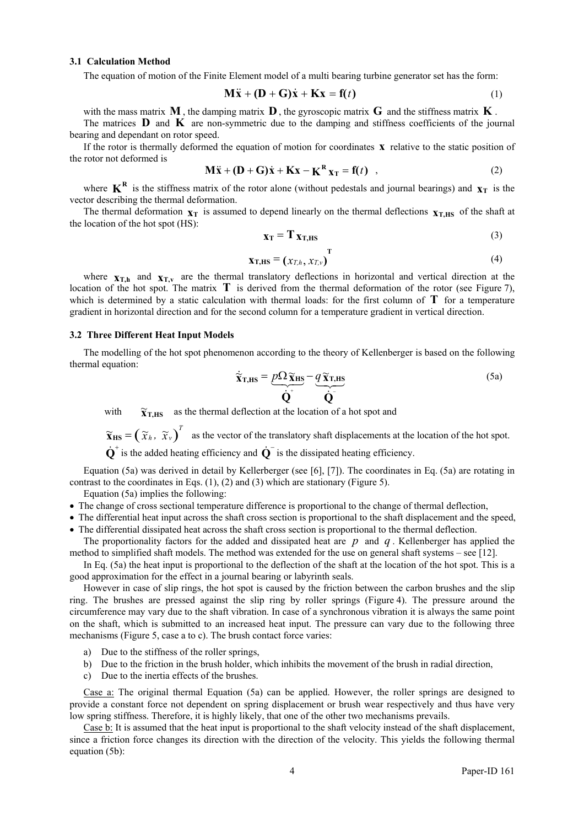#### **3.1 Calculation Method**

The equation of motion of the Finite Element model of a multi bearing turbine generator set has the form:

$$
\mathbf{M}\ddot{\mathbf{x}} + (\mathbf{D} + \mathbf{G})\dot{\mathbf{x}} + \mathbf{K}\mathbf{x} = \mathbf{f}(t)
$$
 (1)

with the mass matrix  $\mathbf{M}$ , the damping matrix  $\mathbf{D}$ , the gyroscopic matrix  $\mathbf{G}$  and the stiffness matrix  $\mathbf{K}$ .

The matrices  $\bf{D}$  and  $\bf{K}$  are non-symmetric due to the damping and stiffness coefficients of the journal bearing and dependant on rotor speed.

If the rotor is thermally deformed the equation of motion for coordinates  $\bf{x}$  relative to the static position of the rotor not deformed is

$$
\mathbf{M}\ddot{\mathbf{x}} + (\mathbf{D} + \mathbf{G})\dot{\mathbf{x}} + \mathbf{K}\mathbf{x} - \mathbf{K}^{\mathbf{R}}\mathbf{x}_{\mathrm{T}} = \mathbf{f}(t) \quad , \tag{2}
$$

where  $K^R$  is the stiffness matrix of the rotor alone (without pedestals and journal bearings) and  $\mathbf{x}_T$  is the vector describing the thermal deformation.

The thermal deformation  $\mathbf{x}_T$  is assumed to depend linearly on the thermal deflections  $\mathbf{x}_{T,HS}$  of the shaft at the location of the hot spot (HS):

$$
\mathbf{x}_{\mathrm{T}} = \mathbf{T} \, \mathbf{x}_{\mathrm{T,HS}} \tag{3}
$$

$$
\mathbf{x}_{\text{T,HS}} = \begin{pmatrix} x_{\text{T},h}, x_{\text{T},v} \end{pmatrix}^{\text{T}}
$$
 (4)

where  $\mathbf{x}_{T,h}$  and  $\mathbf{x}_{T,v}$  are the thermal translatory deflections in horizontal and vertical direction at the location of the hot spot. The matrix **T** is derived from the thermal deformation of the rotor (see Figure 7), which is determined by a static calculation with thermal loads: for the first column of  $T$  for a temperature gradient in horizontal direction and for the second column for a temperature gradient in vertical direction.

## **3.2 Three Different Heat Input Models**

The modelling of the hot spot phenomenon according to the theory of Kellenberger is based on the following thermal equation:

$$
\dot{\tilde{\mathbf{x}}}_{\text{T,HS}} = \underbrace{p\Omega\tilde{\mathbf{x}}_{\text{HS}}}_{\dot{\mathbf{Q}}^+} - \underbrace{q\tilde{\mathbf{x}}_{\text{T,HS}}}_{\dot{\mathbf{Q}}^-}
$$
\n(5a)

with  $\widetilde{\mathbf{x}}_{T,HS}$  as the thermal deflection at the location of a hot spot and

 $\widetilde{\mathbf{x}}_{\text{HS}} = (\widetilde{x}_h, \widetilde{x}_v)^T$  as the vector of the translatory shaft displacements at the location of the hot spot.

 $\dot{\mathbf{Q}}^+$  is the added heating efficiency and  $\dot{\mathbf{Q}}^-$  is the dissipated heating efficiency.

Equation (5a) was derived in detail by Kellerberger (see [6], [7]). The coordinates in Eq. (5a) are rotating in contrast to the coordinates in Eqs.  $(1)$ ,  $(2)$  and  $(3)$  which are stationary (Figure 5).

Equation (5a) implies the following:

- The change of cross sectional temperature difference is proportional to the change of thermal deflection,
- The differential heat input across the shaft cross section is proportional to the shaft displacement and the speed,
- The differential dissipated heat across the shaft cross section is proportional to the thermal deflection.
- The proportionality factors for the added and dissipated heat are  $p$  and  $q$ . Kellenberger has applied the method to simplified shaft models. The method was extended for the use on general shaft systems – see [12].

In Eq. (5a) the heat input is proportional to the deflection of the shaft at the location of the hot spot. This is a good approximation for the effect in a journal bearing or labyrinth seals.

However in case of slip rings, the hot spot is caused by the friction between the carbon brushes and the slip ring. The brushes are pressed against the slip ring by roller springs (Figure 4). The pressure around the circumference may vary due to the shaft vibration. In case of a synchronous vibration it is always the same point on the shaft, which is submitted to an increased heat input. The pressure can vary due to the following three mechanisms (Figure 5, case a to c). The brush contact force varies:

- a) Due to the stiffness of the roller springs,
- b) Due to the friction in the brush holder, which inhibits the movement of the brush in radial direction,
- c) Due to the inertia effects of the brushes.

Case a: The original thermal Equation (5a) can be applied. However, the roller springs are designed to provide a constant force not dependent on spring displacement or brush wear respectively and thus have very low spring stiffness. Therefore, it is highly likely, that one of the other two mechanisms prevails.

Case b: It is assumed that the heat input is proportional to the shaft velocity instead of the shaft displacement, since a friction force changes its direction with the direction of the velocity. This yields the following thermal equation (5b):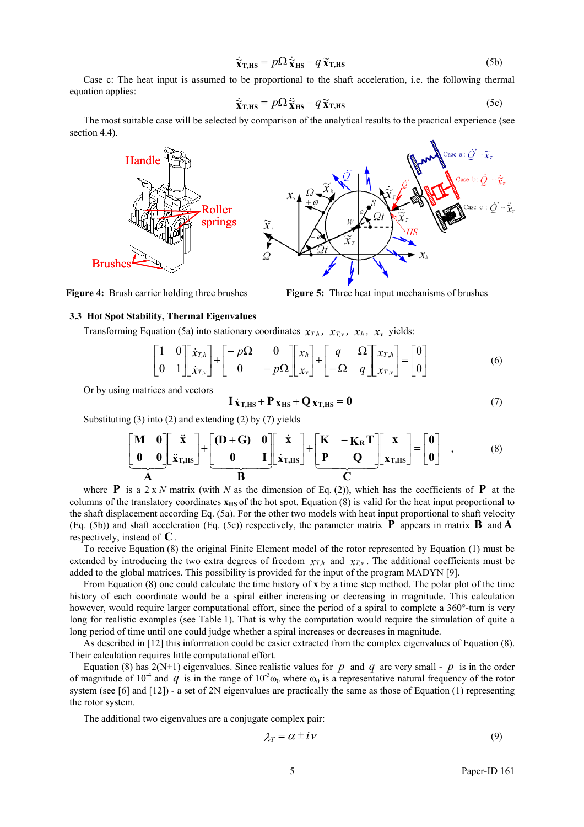$$
\dot{\tilde{\mathbf{x}}}_{\text{T,HS}} = p\Omega \dot{\tilde{\mathbf{x}}}_{\text{HS}} - q \tilde{\mathbf{x}}_{\text{T,HS}} \tag{5b}
$$

Case c: The heat input is assumed to be proportional to the shaft acceleration, i.e. the following thermal equation applies:

$$
\dot{\tilde{\mathbf{x}}}_{\text{T,HS}} = p\Omega \ddot{\tilde{\mathbf{x}}}_{\text{HS}} - q \tilde{\mathbf{x}}_{\text{T,HS}} \tag{5c}
$$

The most suitable case will be selected by comparison of the analytical results to the practical experience (see section 4.4).



**Figure 4:** Brush carrier holding three brushes **Figure 5:** Three heat input mechanisms of brushes

## **3.3 Hot Spot Stability, Thermal Eigenvalues**

Transforming Equation (5a) into stationary coordinates  $x_{T,h}$ ,  $x_{T,v}$ ,  $x_h$ ,  $x_v$  yields:

$$
\begin{bmatrix} 1 & 0 \ 0 & 1 \end{bmatrix} \begin{bmatrix} \dot{x}_{T,h} \\ \dot{x}_{T,v} \end{bmatrix} + \begin{bmatrix} -p\Omega & 0 \\ 0 & -p\Omega \end{bmatrix} \begin{bmatrix} x_h \\ x_v \end{bmatrix} + \begin{bmatrix} q & \Omega \\ -\Omega & q \end{bmatrix} \begin{bmatrix} x_{T,h} \\ x_{T,v} \end{bmatrix} = \begin{bmatrix} 0 \\ 0 \end{bmatrix}
$$
(6)

Or by using matrices and vectors

$$
I \dot{\chi}_{T,HS} + P \chi_{HS} + Q \chi_{T,HS} = 0 \tag{7}
$$

Substituting (3) into (2) and extending (2) by (7) yields

$$
\left[\begin{array}{cc}\n\mathbf{M} & \mathbf{0} \\
\mathbf{0} & \mathbf{0}\n\end{array}\right]\n\mathbf{x}_{\text{T,HS}} + \left[\begin{array}{cc}\n\mathbf{D} + \mathbf{G} & \mathbf{0} \\
\mathbf{0} & \mathbf{I}\n\end{array}\right]\n\mathbf{x}_{\text{T,HS}} + \left[\begin{array}{cc}\n\mathbf{K} & -\mathbf{K}_{\text{R}}\mathbf{T} \\
\mathbf{P} & \mathbf{Q}\n\end{array}\right]\n\mathbf{x}_{\text{T,HS}} = \begin{bmatrix}\n\mathbf{0} \\
\mathbf{0}\n\end{bmatrix} ,
$$
\n(8)

where **P** is a 2 x *N* matrix (with *N* as the dimension of Eq. (2)), which has the coefficients of **P** at the columns of the translatory coordinates  $x_{HS}$  of the hot spot. Equation  $(8)$  is valid for the heat input proportional to the shaft displacement according Eq. (5a). For the other two models with heat input proportional to shaft velocity (Eq. (5b)) and shaft acceleration (Eq. (5c)) respectively, the parameter matrix  $\bf{P}$  appears in matrix  $\bf{B}$  and  $\bf{A}$ respectively, instead of  $C$ .

To receive Equation (8) the original Finite Element model of the rotor represented by Equation (1) must be extended by introducing the two extra degrees of freedom  $x_{\tau,h}$  and  $x_{\tau,v}$ . The additional coefficients must be added to the global matrices. This possibility is provided for the input of the program MADYN [9].

From Equation (8) one could calculate the time history of **x** by a time step method. The polar plot of the time history of each coordinate would be a spiral either increasing or decreasing in magnitude. This calculation however, would require larger computational effort, since the period of a spiral to complete a 360°-turn is very long for realistic examples (see Table 1). That is why the computation would require the simulation of quite a long period of time until one could judge whether a spiral increases or decreases in magnitude.

As described in [12] this information could be easier extracted from the complex eigenvalues of Equation (8). Their calculation requires little computational effort.

Equation (8) has  $2(N+1)$  eigenvalues. Since realistic values for *p* and *q* are very small - *p* is in the order of magnitude of 10<sup>-4</sup> and *q* is in the range of 10<sup>-3</sup> $\omega_0$  where  $\omega_0$  is a representative natural frequency of the rotor system (see [6] and [12]) - a set of 2N eigenvalues are practically the same as those of Equation (1) representing the rotor system.

The additional two eigenvalues are a conjugate complex pair:

$$
\lambda_T = \alpha \pm i \nu \tag{9}
$$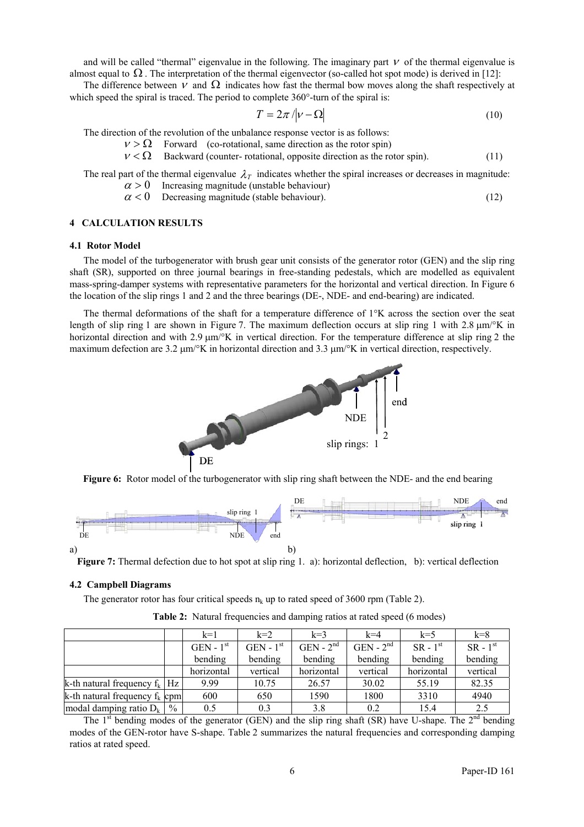and will be called "thermal" eigenvalue in the following. The imaginary part  $V$  of the thermal eigenvalue is almost equal to  $\Omega$ . The interpretation of the thermal eigenvector (so-called hot spot mode) is derived in [12]:

The difference between  $V$  and  $\Omega$  indicates how fast the thermal bow moves along the shaft respectively at which speed the spiral is traced. The period to complete 360°-turn of the spiral is:

$$
T = 2\pi / |\nu - \Omega| \tag{10}
$$

The direction of the revolution of the unbalance response vector is as follows:

 $v > \Omega$  Forward (co-rotational, same direction as the rotor spin)

 $v < \Omega$  Backward (counter- rotational, opposite direction as the rotor spin). (11)

The real part of the thermal eigenvalue  $\lambda_T$  indicates whether the spiral increases or decreases in magnitude:  $\alpha > 0$  Increasing magnitude (unstable behaviour)

 $\alpha$  < 0 Decreasing magnitude (stable behaviour). (12)

## **4 CALCULATION RESULTS**

#### **4.1 Rotor Model**

The model of the turbogenerator with brush gear unit consists of the generator rotor (GEN) and the slip ring shaft (SR), supported on three journal bearings in free-standing pedestals, which are modelled as equivalent mass-spring-damper systems with representative parameters for the horizontal and vertical direction. In Figure 6 the location of the slip rings 1 and 2 and the three bearings (DE-, NDE- and end-bearing) are indicated.

The thermal deformations of the shaft for a temperature difference of 1°K across the section over the seat length of slip ring 1 are shown in Figure 7. The maximum deflection occurs at slip ring 1 with 2.8  $\mu$ m/°K in horizontal direction and with  $2.9 \mu m\text{/}^{\circ}\text{K}$  in vertical direction. For the temperature difference at slip ring 2 the maximum defection are 3.2  $\mu$ m/°K in horizontal direction and 3.3  $\mu$ m/°K in vertical direction, respectively.



**Figure 6:** Rotor model of the turbogenerator with slip ring shaft between the NDE- and the end bearing



**Figure 7:** Thermal defection due to hot spot at slip ring 1. a): horizontal deflection, b): vertical deflection

## **4.2 Campbell Diagrams**

The generator rotor has four critical speeds  $n_k$  up to rated speed of 3600 rpm (Table 2).

|                                   |      | $k=1$       | $k=2$       | $k=3$       | $k=4$       | $k=5$      | $k=8$      |
|-----------------------------------|------|-------------|-------------|-------------|-------------|------------|------------|
|                                   |      | $GEN - 1st$ | $GEN - 1st$ | $GEN - 2nd$ | $GEN - 2nd$ | $SR - 1st$ | $SR - 1st$ |
|                                   |      | bending     | bending     | bending     | bending     | bending    | bending    |
|                                   |      | horizontal  | vertical    | horizontal  | vertical    | horizontal | vertical   |
| k-th natural frequency $f_k$   Hz |      | 9.99        | 10.75       | 26.57       | 30.02       | 55.19      | 82.35      |
| k-th natural frequency $f_k$ cpm  |      | 600         | 650         | 1590        | 1800        | 3310       | 4940       |
| modal damping ratio $D_k$         | $\%$ | 0.5         | 0.3         | 3.8         | 0.2         | 15.4       | 2.5        |

**Table 2:** Natural frequencies and damping ratios at rated speed (6 modes)

The  $1<sup>st</sup>$  bending modes of the generator (GEN) and the slip ring shaft (SR) have U-shape. The  $2<sup>nd</sup>$  bending modes of the GEN-rotor have S-shape. Table 2 summarizes the natural frequencies and corresponding damping ratios at rated speed.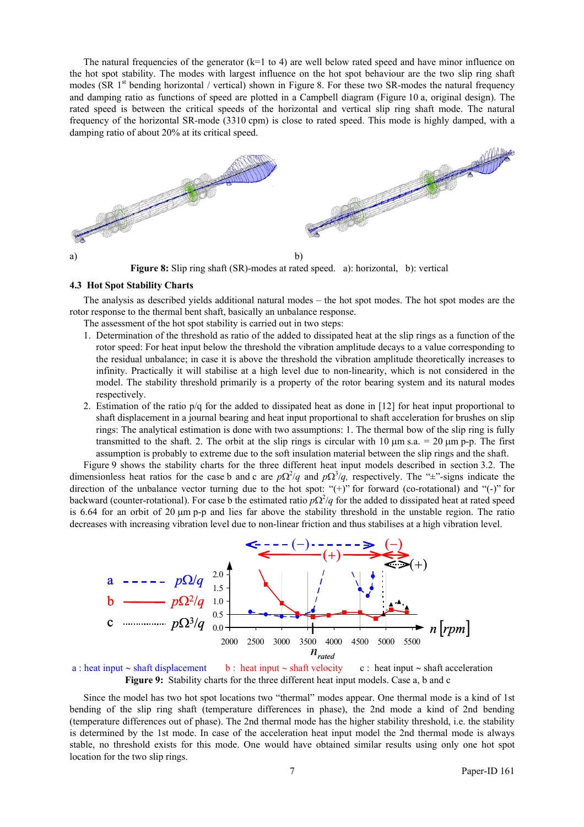The natural frequencies of the generator  $(k=1 \text{ to } 4)$  are well below rated speed and have minor influence on the hot spot stability. The modes with largest influence on the hot spot behaviour are the two slip ring shaft modes (SR  $1<sup>st</sup>$  bending horizontal / vertical) shown in Figure 8. For these two SR-modes the natural frequency and damping ratio as functions of speed are plotted in a Campbell diagram (Figure 10 a, original design). The rated speed is between the critical speeds of the horizontal and vertical slip ring shaft mode. The natural frequency of the horizontal SR-mode (3310 cpm) is close to rated speed. This mode is highly damped, with a damping ratio of about 20% at its critical speed.



**Figure 8:** Slip ring shaft (SR)-modes at rated speed. a): horizontal, b): vertical

#### **4.3 Hot Spot Stability Charts**

The analysis as described yields additional natural modes – the hot spot modes. The hot spot modes are the rotor response to the thermal bent shaft, basically an unbalance response.

- The assessment of the hot spot stability is carried out in two steps:
- 1. Determination of the threshold as ratio of the added to dissipated heat at the slip rings as a function of the rotor speed: For heat input below the threshold the vibration amplitude decays to a value corresponding to the residual unbalance; in case it is above the threshold the vibration amplitude theoretically increases to infinity. Practically it will stabilise at a high level due to non-linearity, which is not considered in the model. The stability threshold primarily is a property of the rotor bearing system and its natural modes respectively.
- 2. Estimation of the ratio p/q for the added to dissipated heat as done in [12] for heat input proportional to shaft displacement in a journal bearing and heat input proportional to shaft acceleration for brushes on slip rings: The analytical estimation is done with two assumptions: 1. The thermal bow of the slip ring is fully transmitted to the shaft. 2. The orbit at the slip rings is circular with 10  $\mu$ m s.a. = 20  $\mu$ m p-p. The first assumption is probably to extreme due to the soft insulation material between the slip rings and the shaft.

Figure 9 shows the stability charts for the three different heat input models described in section 3.2. The dimensionless heat ratios for the case b and c are  $p\Omega^2/q$  and  $p\Omega^3/q$ , respectively. The "±"-signs indicate the direction of the unbalance vector turning due to the hot spot: "(+)" for forward (co-rotational) and "(-)" for backward (counter-rotational). For case b the estimated ratio  $p\Omega^2/q$  for the added to dissipated heat at rated speed is 6.64 for an orbit of 20 µm p-p and lies far above the stability threshold in the unstable region. The ratio decreases with increasing vibration level due to non-linear friction and thus stabilises at a high vibration level.



 a : heat input ∼ shaft displacement b : heat input ∼ shaft velocity c : heat input ∼ shaft acceleration **Figure 9:** Stability charts for the three different heat input models. Case a, b and c

Since the model has two hot spot locations two "thermal" modes appear. One thermal mode is a kind of 1st bending of the slip ring shaft (temperature differences in phase), the 2nd mode a kind of 2nd bending (temperature differences out of phase). The 2nd thermal mode has the higher stability threshold, i.e. the stability is determined by the 1st mode. In case of the acceleration heat input model the 2nd thermal mode is always stable, no threshold exists for this mode. One would have obtained similar results using only one hot spot location for the two slip rings.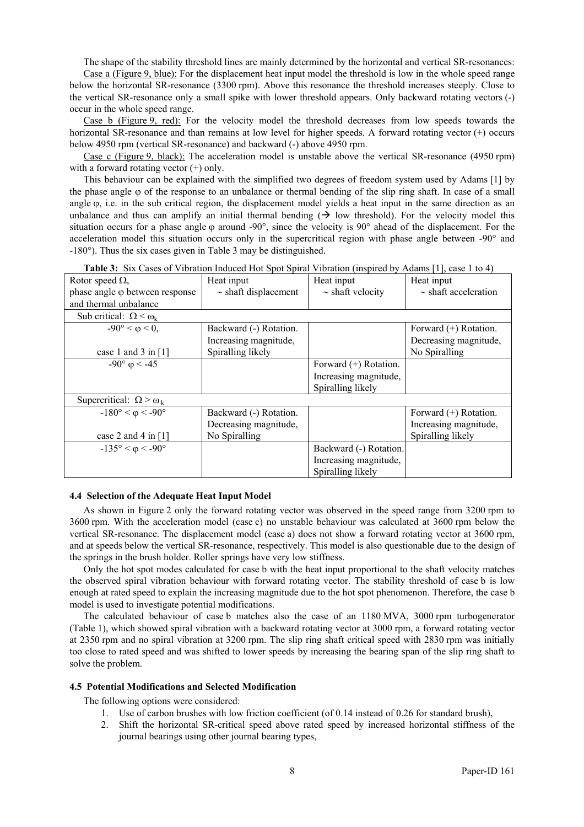The shape of the stability threshold lines are mainly determined by the horizontal and vertical SR-resonances:

Case a (Figure 9, blue): For the displacement heat input model the threshold is low in the whole speed range below the horizontal SR-resonance (3300 rpm). Above this resonance the threshold increases steeply. Close to the vertical SR-resonance only a small spike with lower threshold appears. Only backward rotating vectors (-) occur in the whole speed range.

Case b (Figure 9, red): For the velocity model the threshold decreases from low speeds towards the horizontal SR-resonance and than remains at low level for higher speeds. A forward rotating vector (+) occurs below 4950 rpm (vertical SR-resonance) and backward (-) above 4950 rpm.

Case c (Figure 9, black): The acceleration model is unstable above the vertical SR-resonance (4950 rpm) with a forward rotating vector  $(+)$  only.

This behaviour can be explained with the simplified two degrees of freedom system used by Adams [1] by the phase angle φ of the response to an unbalance or thermal bending of the slip ring shaft. In case of a small angle  $\varphi$ , i.e. in the sub critical region, the displacement model yields a heat input in the same direction as an unbalance and thus can amplify an initial thermal bending  $(\rightarrow)$  low threshold). For the velocity model this situation occurs for a phase angle  $\varphi$  around -90°, since the velocity is 90° ahead of the displacement. For the acceleration model this situation occurs only in the supercritical region with phase angle between -90° and -180°). Thus the six cases given in Table 3 may be distinguished.

| <b>Table 5:</b> SIX Cases of Vibration induced Hot Spot Spiral Vibration (inspired by Adams [1], case 1 to 4) |                           |                         |                           |  |  |  |
|---------------------------------------------------------------------------------------------------------------|---------------------------|-------------------------|---------------------------|--|--|--|
| Rotor speed $\Omega$ ,                                                                                        | Heat input                | Heat input              | Heat input                |  |  |  |
| phase angle $\varphi$ between response                                                                        | $\sim$ shaft displacement | $\sim$ shaft velocity   | $\sim$ shaft acceleration |  |  |  |
| and thermal unbalance                                                                                         |                           |                         |                           |  |  |  |
| Sub critical: $\Omega \leq \omega_k$                                                                          |                           |                         |                           |  |  |  |
| $-90^{\circ} < \varphi < 0$ ,                                                                                 | Backward (-) Rotation.    |                         | Forward (+) Rotation.     |  |  |  |
|                                                                                                               | Increasing magnitude,     |                         | Decreasing magnitude,     |  |  |  |
| case 1 and 3 in $[1]$                                                                                         | Spiralling likely         |                         | No Spiralling             |  |  |  |
| $-90^{\circ}$ $\varphi$ < -45                                                                                 |                           | Forward $(+)$ Rotation. |                           |  |  |  |
|                                                                                                               |                           | Increasing magnitude,   |                           |  |  |  |
|                                                                                                               |                           | Spiralling likely       |                           |  |  |  |
| Supercritical: $\Omega > \omega_k$                                                                            |                           |                         |                           |  |  |  |
| $-180^{\circ} < \varphi < -90^{\circ}$                                                                        | Backward (-) Rotation.    |                         | Forward (+) Rotation.     |  |  |  |
|                                                                                                               | Decreasing magnitude,     |                         | Increasing magnitude,     |  |  |  |
| case 2 and 4 in $[1]$                                                                                         | No Spiralling             |                         | Spiralling likely         |  |  |  |
| $-135^{\circ} < \varphi < -90^{\circ}$                                                                        |                           | Backward (-) Rotation.  |                           |  |  |  |
|                                                                                                               |                           | Increasing magnitude,   |                           |  |  |  |
|                                                                                                               |                           | Spiralling likely       |                           |  |  |  |

**Table 3:** Six Cases of Vibration Induced Hot Spot Spiral Vibration (inspired by Adams [1], case 1 to 4)

## **4.4 Selection of the Adequate Heat Input Model**

As shown in Figure 2 only the forward rotating vector was observed in the speed range from 3200 rpm to 3600 rpm. With the acceleration model (case c) no unstable behaviour was calculated at 3600 rpm below the vertical SR-resonance. The displacement model (case a) does not show a forward rotating vector at 3600 rpm, and at speeds below the vertical SR-resonance, respectively. This model is also questionable due to the design of the springs in the brush holder. Roller springs have very low stiffness.

Only the hot spot modes calculated for case b with the heat input proportional to the shaft velocity matches the observed spiral vibration behaviour with forward rotating vector. The stability threshold of case b is low enough at rated speed to explain the increasing magnitude due to the hot spot phenomenon. Therefore, the case b model is used to investigate potential modifications.

The calculated behaviour of case b matches also the case of an 1180 MVA, 3000 rpm turbogenerator (Table 1), which showed spiral vibration with a backward rotating vector at 3000 rpm, a forward rotating vector at 2350 rpm and no spiral vibration at 3200 rpm. The slip ring shaft critical speed with 2830 rpm was initially too close to rated speed and was shifted to lower speeds by increasing the bearing span of the slip ring shaft to solve the problem.

#### **4.5 Potential Modifications and Selected Modification**

The following options were considered:

- 1. Use of carbon brushes with low friction coefficient (of 0.14 instead of 0.26 for standard brush),
- 2. Shift the horizontal SR-critical speed above rated speed by increased horizontal stiffness of the journal bearings using other journal bearing types,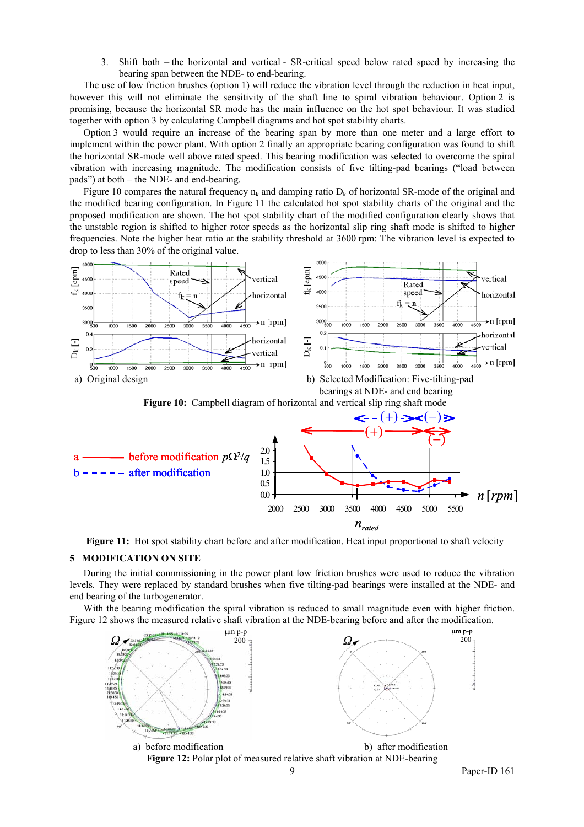3. Shift both – the horizontal and vertical - SR-critical speed below rated speed by increasing the bearing span between the NDE- to end-bearing.

The use of low friction brushes (option 1) will reduce the vibration level through the reduction in heat input, however this will not eliminate the sensitivity of the shaft line to spiral vibration behaviour. Option 2 is promising, because the horizontal SR mode has the main influence on the hot spot behaviour. It was studied together with option 3 by calculating Campbell diagrams and hot spot stability charts.

Option 3 would require an increase of the bearing span by more than one meter and a large effort to implement within the power plant. With option 2 finally an appropriate bearing configuration was found to shift the horizontal SR-mode well above rated speed. This bearing modification was selected to overcome the spiral vibration with increasing magnitude. The modification consists of five tilting-pad bearings ("load between pads") at both – the NDE- and end-bearing.

Figure 10 compares the natural frequency  $n_k$  and damping ratio  $D_k$  of horizontal SR-mode of the original and the modified bearing configuration. In Figure 11 the calculated hot spot stability charts of the original and the proposed modification are shown. The hot spot stability chart of the modified configuration clearly shows that the unstable region is shifted to higher rotor speeds as the horizontal slip ring shaft mode is shifted to higher frequencies. Note the higher heat ratio at the stability threshold at 3600 rpm: The vibration level is expected to drop to less than 30% of the original value.



**Figure 11:** Hot spot stability chart before and after modification. Heat input proportional to shaft velocity

## **5 MODIFICATION ON SITE**

During the initial commissioning in the power plant low friction brushes were used to reduce the vibration levels. They were replaced by standard brushes when five tilting-pad bearings were installed at the NDE- and end bearing of the turbogenerator.

With the bearing modification the spiral vibration is reduced to small magnitude even with higher friction. Figure 12 shows the measured relative shaft vibration at the NDE-bearing before and after the modification.



**Figure 12:** Polar plot of measured relative shaft vibration at NDE-bearing